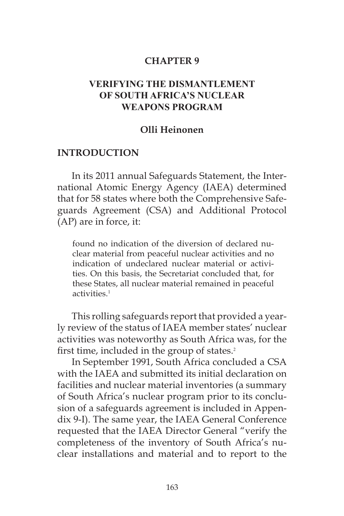#### **CHAPTER 9**

### **VERIFYING THE DISMANTLEMENT OF SOUTH AFRICA'S NUCLEAR WEAPONS PROGRAM**

#### **Olli Heinonen**

#### **INTRODUCTION**

In its 2011 annual Safeguards Statement, the International Atomic Energy Agency (IAEA) determined that for 58 states where both the Comprehensive Safeguards Agreement (CSA) and Additional Protocol (AP) are in force, it:

found no indication of the diversion of declared nuclear material from peaceful nuclear activities and no indication of undeclared nuclear material or activities. On this basis, the Secretariat concluded that, for these States, all nuclear material remained in peaceful activities $<sup>1</sup>$ </sup>

This rolling safeguards report that provided a yearly review of the status of IAEA member states' nuclear activities was noteworthy as South Africa was, for the first time, included in the group of states.<sup>2</sup>

In September 1991, South Africa concluded a CSA with the IAEA and submitted its initial declaration on facilities and nuclear material inventories (a summary of South Africa's nuclear program prior to its conclusion of a safeguards agreement is included in Appendix 9-I). The same year, the IAEA General Conference requested that the IAEA Director General "verify the completeness of the inventory of South Africa's nuclear installations and material and to report to the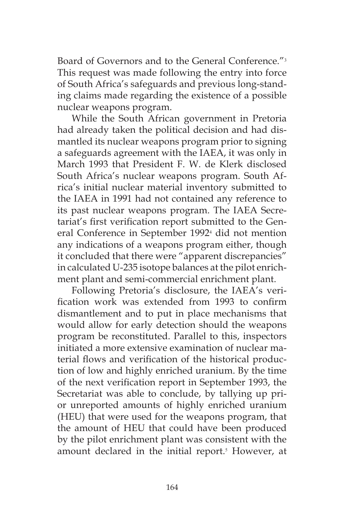Board of Governors and to the General Conference."<sup>3</sup> This request was made following the entry into force of South Africa's safeguards and previous long-standing claims made regarding the existence of a possible nuclear weapons program.

While the South African government in Pretoria had already taken the political decision and had dismantled its nuclear weapons program prior to signing a safeguards agreement with the IAEA, it was only in March 1993 that President F. W. de Klerk disclosed South Africa's nuclear weapons program. South Africa's initial nuclear material inventory submitted to the IAEA in 1991 had not contained any reference to its past nuclear weapons program. The IAEA Secretariat's first verification report submitted to the General Conference in September 1992<sup>4</sup> did not mention any indications of a weapons program either, though it concluded that there were "apparent discrepancies" in calculated U-235 isotope balances at the pilot enrichment plant and semi-commercial enrichment plant.

Following Pretoria's disclosure, the IAEA's verification work was extended from 1993 to confirm dismantlement and to put in place mechanisms that would allow for early detection should the weapons program be reconstituted. Parallel to this, inspectors initiated a more extensive examination of nuclear material flows and verification of the historical production of low and highly enriched uranium. By the time of the next verification report in September 1993, the Secretariat was able to conclude, by tallying up prior unreported amounts of highly enriched uranium (HEU) that were used for the weapons program, that the amount of HEU that could have been produced by the pilot enrichment plant was consistent with the amount declared in the initial report.<sup>5</sup> However, at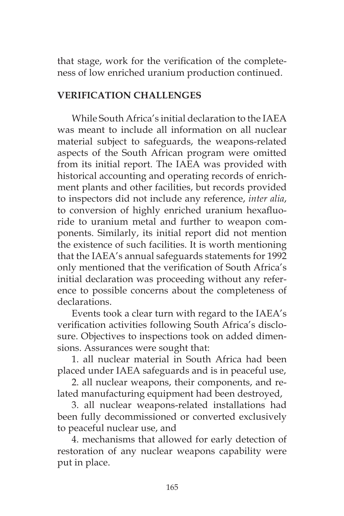that stage, work for the verification of the completeness of low enriched uranium production continued.

## **VERIFICATION CHALLENGES**

While South Africa's initial declaration to the IAEA was meant to include all information on all nuclear material subject to safeguards, the weapons-related aspects of the South African program were omitted from its initial report. The IAEA was provided with historical accounting and operating records of enrichment plants and other facilities, but records provided to inspectors did not include any reference, *inter alia*, to conversion of highly enriched uranium hexafluoride to uranium metal and further to weapon components. Similarly, its initial report did not mention the existence of such facilities. It is worth mentioning that the IAEA's annual safeguards statements for 1992 only mentioned that the verification of South Africa's initial declaration was proceeding without any reference to possible concerns about the completeness of declarations.

Events took a clear turn with regard to the IAEA's verification activities following South Africa's disclosure. Objectives to inspections took on added dimensions. Assurances were sought that:

1. all nuclear material in South Africa had been placed under IAEA safeguards and is in peaceful use,

2. all nuclear weapons, their components, and related manufacturing equipment had been destroyed,

3. all nuclear weapons-related installations had been fully decommissioned or converted exclusively to peaceful nuclear use, and

4. mechanisms that allowed for early detection of restoration of any nuclear weapons capability were put in place.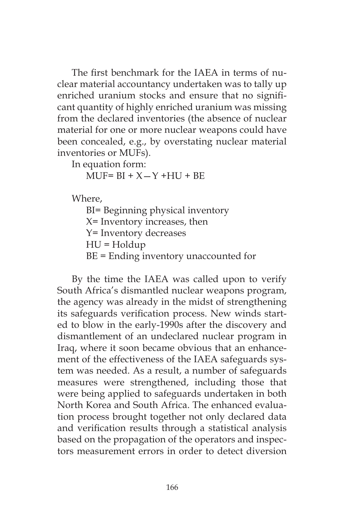The first benchmark for the IAEA in terms of nuclear material accountancy undertaken was to tally up enriched uranium stocks and ensure that no significant quantity of highly enriched uranium was missing from the declared inventories (the absence of nuclear material for one or more nuclear weapons could have been concealed, e.g., by overstating nuclear material inventories or MUFs).

In equation form:

 $MUF = BI + X - Y + HU + BE$ 

Where,

BI= Beginning physical inventory X= Inventory increases, then Y= Inventory decreases HU = Holdup BE = Ending inventory unaccounted for

By the time the IAEA was called upon to verify South Africa's dismantled nuclear weapons program, the agency was already in the midst of strengthening its safeguards verification process. New winds started to blow in the early-1990s after the discovery and dismantlement of an undeclared nuclear program in Iraq, where it soon became obvious that an enhancement of the effectiveness of the IAEA safeguards system was needed. As a result, a number of safeguards measures were strengthened, including those that were being applied to safeguards undertaken in both North Korea and South Africa. The enhanced evaluation process brought together not only declared data and verification results through a statistical analysis based on the propagation of the operators and inspectors measurement errors in order to detect diversion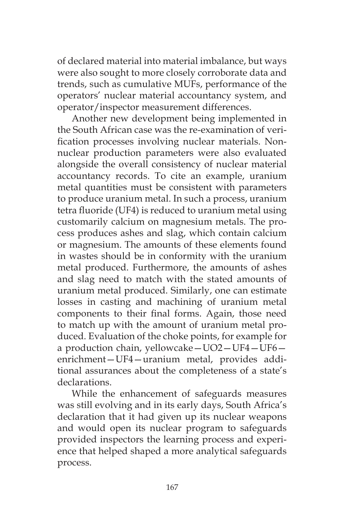of declared material into material imbalance, but ways were also sought to more closely corroborate data and trends, such as cumulative MUFs, performance of the operators' nuclear material accountancy system, and operator/inspector measurement differences.

Another new development being implemented in the South African case was the re-examination of verification processes involving nuclear materials. Nonnuclear production parameters were also evaluated alongside the overall consistency of nuclear material accountancy records. To cite an example, uranium metal quantities must be consistent with parameters to produce uranium metal. In such a process, uranium tetra fluoride (UF4) is reduced to uranium metal using customarily calcium on magnesium metals. The process produces ashes and slag, which contain calcium or magnesium. The amounts of these elements found in wastes should be in conformity with the uranium metal produced. Furthermore, the amounts of ashes and slag need to match with the stated amounts of uranium metal produced. Similarly, one can estimate losses in casting and machining of uranium metal components to their final forms. Again, those need to match up with the amount of uranium metal produced. Evaluation of the choke points, for example for a production chain, yellowcake—UO2—UF4—UF6 enrichment—UF4—uranium metal, provides additional assurances about the completeness of a state's declarations.

While the enhancement of safeguards measures was still evolving and in its early days, South Africa's declaration that it had given up its nuclear weapons and would open its nuclear program to safeguards provided inspectors the learning process and experience that helped shaped a more analytical safeguards process.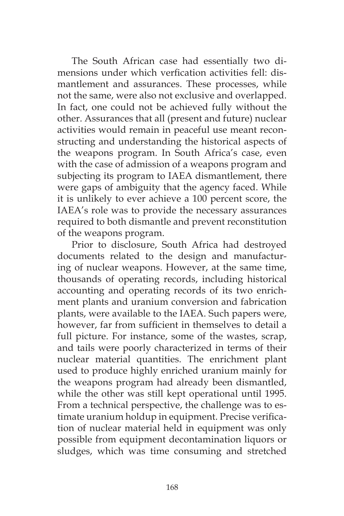The South African case had essentially two dimensions under which verfication activities fell: dismantlement and assurances. These processes, while not the same, were also not exclusive and overlapped. In fact, one could not be achieved fully without the other. Assurances that all (present and future) nuclear activities would remain in peaceful use meant reconstructing and understanding the historical aspects of the weapons program. In South Africa's case, even with the case of admission of a weapons program and subjecting its program to IAEA dismantlement, there were gaps of ambiguity that the agency faced. While it is unlikely to ever achieve a 100 percent score, the IAEA's role was to provide the necessary assurances required to both dismantle and prevent reconstitution of the weapons program.

Prior to disclosure, South Africa had destroyed documents related to the design and manufacturing of nuclear weapons. However, at the same time, thousands of operating records, including historical accounting and operating records of its two enrichment plants and uranium conversion and fabrication plants, were available to the IAEA. Such papers were, however, far from sufficient in themselves to detail a full picture. For instance, some of the wastes, scrap, and tails were poorly characterized in terms of their nuclear material quantities. The enrichment plant used to produce highly enriched uranium mainly for the weapons program had already been dismantled, while the other was still kept operational until 1995. From a technical perspective, the challenge was to estimate uranium holdup in equipment. Precise verification of nuclear material held in equipment was only possible from equipment decontamination liquors or sludges, which was time consuming and stretched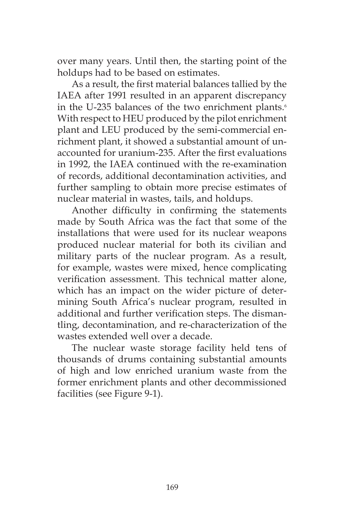over many years. Until then, the starting point of the holdups had to be based on estimates.

As a result, the first material balances tallied by the IAEA after 1991 resulted in an apparent discrepancy in the U-235 balances of the two enrichment plants.<sup>6</sup> With respect to HEU produced by the pilot enrichment plant and LEU produced by the semi-commercial enrichment plant, it showed a substantial amount of unaccounted for uranium-235. After the first evaluations in 1992, the IAEA continued with the re-examination of records, additional decontamination activities, and further sampling to obtain more precise estimates of nuclear material in wastes, tails, and holdups.

Another difficulty in confirming the statements made by South Africa was the fact that some of the installations that were used for its nuclear weapons produced nuclear material for both its civilian and military parts of the nuclear program. As a result, for example, wastes were mixed, hence complicating verification assessment. This technical matter alone, which has an impact on the wider picture of determining South Africa's nuclear program, resulted in additional and further verification steps. The dismantling, decontamination, and re-characterization of the wastes extended well over a decade.

The nuclear waste storage facility held tens of thousands of drums containing substantial amounts of high and low enriched uranium waste from the former enrichment plants and other decommissioned facilities (see Figure 9-1).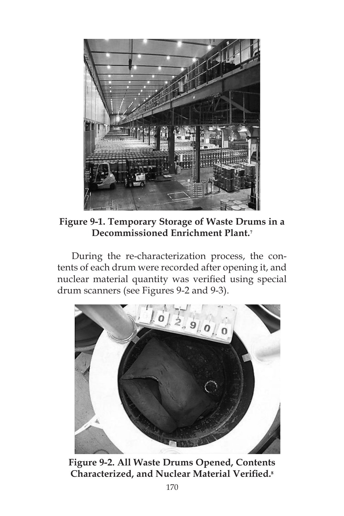

**Figure 9-1. Temporary Storage of Waste Drums in a Decommissioned Enrichment Plant.<sup>7</sup>**

During the re-characterization process, the contents of each drum were recorded after opening it, and nuclear material quantity was verified using special drum scanners (see Figures 9-2 and 9-3).



**Figure 9-2. All Waste Drums Opened, Contents Characterized, and Nuclear Material Verified.8**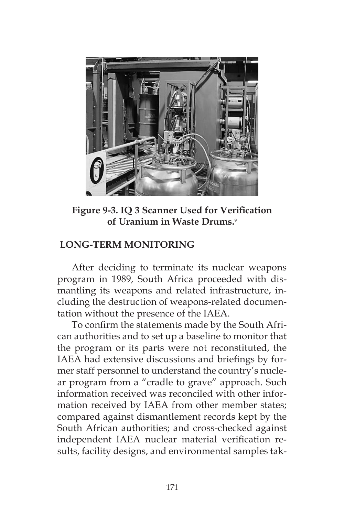

**Figure 9-3. IQ 3 Scanner Used for Verification of Uranium in Waste Drums.<sup>9</sup>**

## **LONG-TERM MONITORING**

After deciding to terminate its nuclear weapons program in 1989, South Africa proceeded with dismantling its weapons and related infrastructure, including the destruction of weapons-related documentation without the presence of the IAEA.

To confirm the statements made by the South African authorities and to set up a baseline to monitor that the program or its parts were not reconstituted, the IAEA had extensive discussions and briefings by former staff personnel to understand the country's nuclear program from a "cradle to grave" approach. Such information received was reconciled with other information received by IAEA from other member states; compared against dismantlement records kept by the South African authorities; and cross-checked against independent IAEA nuclear material verification results, facility designs, and environmental samples tak-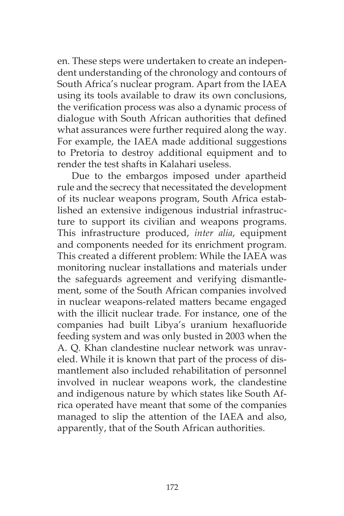en. These steps were undertaken to create an independent understanding of the chronology and contours of South Africa's nuclear program. Apart from the IAEA using its tools available to draw its own conclusions, the verification process was also a dynamic process of dialogue with South African authorities that defined what assurances were further required along the way. For example, the IAEA made additional suggestions to Pretoria to destroy additional equipment and to render the test shafts in Kalahari useless.

Due to the embargos imposed under apartheid rule and the secrecy that necessitated the development of its nuclear weapons program, South Africa established an extensive indigenous industrial infrastructure to support its civilian and weapons programs. This infrastructure produced, *inter alia*, equipment and components needed for its enrichment program. This created a different problem: While the IAEA was monitoring nuclear installations and materials under the safeguards agreement and verifying dismantlement, some of the South African companies involved in nuclear weapons-related matters became engaged with the illicit nuclear trade. For instance, one of the companies had built Libya's uranium hexafluoride feeding system and was only busted in 2003 when the A. Q. Khan clandestine nuclear network was unraveled. While it is known that part of the process of dismantlement also included rehabilitation of personnel involved in nuclear weapons work, the clandestine and indigenous nature by which states like South Africa operated have meant that some of the companies managed to slip the attention of the IAEA and also, apparently, that of the South African authorities.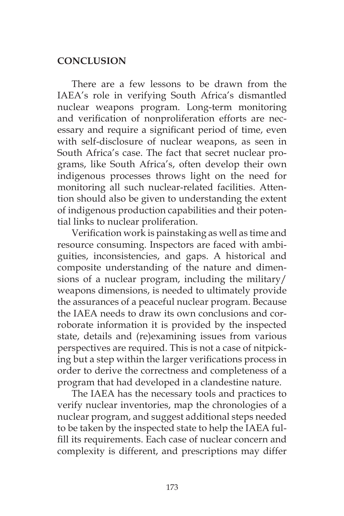## **CONCLUSION**

There are a few lessons to be drawn from the IAEA's role in verifying South Africa's dismantled nuclear weapons program. Long-term monitoring and verification of nonproliferation efforts are necessary and require a significant period of time, even with self-disclosure of nuclear weapons, as seen in South Africa's case. The fact that secret nuclear programs, like South Africa's, often develop their own indigenous processes throws light on the need for monitoring all such nuclear-related facilities. Attention should also be given to understanding the extent of indigenous production capabilities and their potential links to nuclear proliferation.

Verification work is painstaking as well as time and resource consuming. Inspectors are faced with ambiguities, inconsistencies, and gaps. A historical and composite understanding of the nature and dimensions of a nuclear program, including the military/ weapons dimensions, is needed to ultimately provide the assurances of a peaceful nuclear program. Because the IAEA needs to draw its own conclusions and corroborate information it is provided by the inspected state, details and (re)examining issues from various perspectives are required. This is not a case of nitpicking but a step within the larger verifications process in order to derive the correctness and completeness of a program that had developed in a clandestine nature.

The IAEA has the necessary tools and practices to verify nuclear inventories, map the chronologies of a nuclear program, and suggest additional steps needed to be taken by the inspected state to help the IAEA fulfill its requirements. Each case of nuclear concern and complexity is different, and prescriptions may differ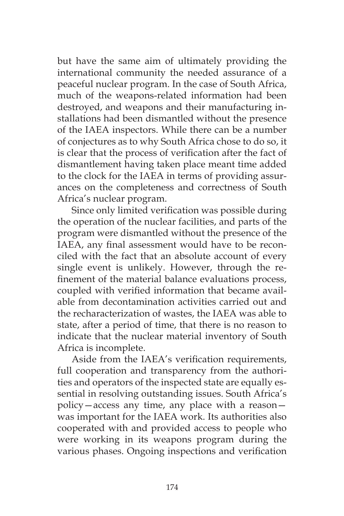but have the same aim of ultimately providing the international community the needed assurance of a peaceful nuclear program. In the case of South Africa, much of the weapons-related information had been destroyed, and weapons and their manufacturing installations had been dismantled without the presence of the IAEA inspectors. While there can be a number of conjectures as to why South Africa chose to do so, it is clear that the process of verification after the fact of dismantlement having taken place meant time added to the clock for the IAEA in terms of providing assurances on the completeness and correctness of South Africa's nuclear program.

Since only limited verification was possible during the operation of the nuclear facilities, and parts of the program were dismantled without the presence of the IAEA, any final assessment would have to be reconciled with the fact that an absolute account of every single event is unlikely. However, through the refinement of the material balance evaluations process, coupled with verified information that became available from decontamination activities carried out and the recharacterization of wastes, the IAEA was able to state, after a period of time, that there is no reason to indicate that the nuclear material inventory of South Africa is incomplete.

Aside from the IAEA's verification requirements, full cooperation and transparency from the authorities and operators of the inspected state are equally essential in resolving outstanding issues. South Africa's policy—access any time, any place with a reason was important for the IAEA work. Its authorities also cooperated with and provided access to people who were working in its weapons program during the various phases. Ongoing inspections and verification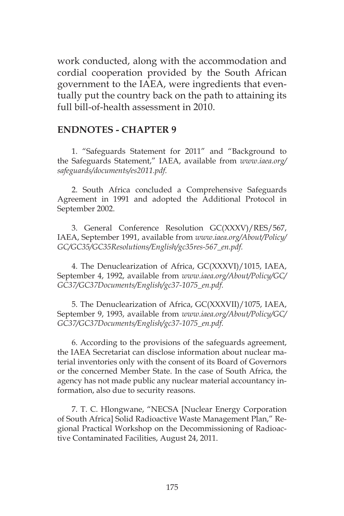work conducted, along with the accommodation and cordial cooperation provided by the South African government to the IAEA, were ingredients that eventually put the country back on the path to attaining its full bill-of-health assessment in 2010.

#### **ENDNOTES - CHAPTER 9**

1. "Safeguards Statement for 2011" and "Background to the Safeguards Statement," IAEA, available from *www.iaea.org/ safeguards/documents/es2011.pdf.*

2. South Africa concluded a Comprehensive Safeguards Agreement in 1991 and adopted the Additional Protocol in September 2002.

3. General Conference Resolution GC(XXXV)/RES/567, IAEA, September 1991, available from *www.iaea.org/About/Policy/ GC/GC35/GC35Resolutions/English/gc35res-567\_en.pdf.*

4. The Denuclearization of Africa, GC(XXXVI)/1015, IAEA, September 4, 1992, available from *www.iaea.org/About/Policy/GC/ GC37/GC37Documents/English/gc37-1075\_en.pdf.*

5. The Denuclearization of Africa, GC(XXXVII)/1075, IAEA, September 9, 1993, available from *www.iaea.org/About/Policy/GC/ GC37/GC37Documents/English/gc37-1075\_en.pdf.*

6. According to the provisions of the safeguards agreement, the IAEA Secretariat can disclose information about nuclear material inventories only with the consent of its Board of Governors or the concerned Member State. In the case of South Africa, the agency has not made public any nuclear material accountancy information, also due to security reasons.

7. T. C. Hlongwane, "NECSA [Nuclear Energy Corporation of South Africa] Solid Radioactive Waste Management Plan," Regional Practical Workshop on the Decommissioning of Radioactive Contaminated Facilities, August 24, 2011.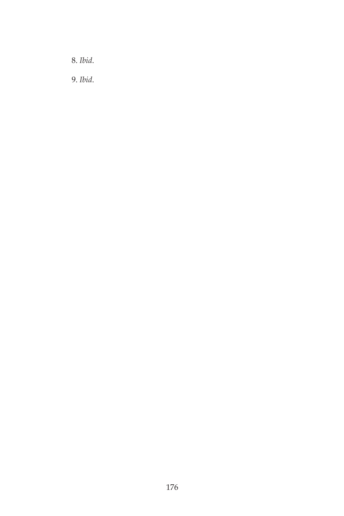8. *Ibid*.

9. *Ibid*.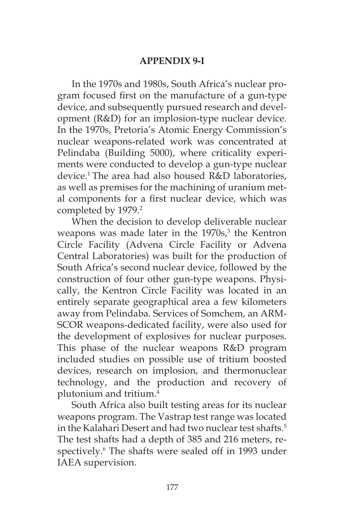## **APPENDIX 9-I**

In the 1970s and 1980s, South Africa's nuclear program focused first on the manufacture of a gun-type device, and subsequently pursued research and development (R&D) for an implosion-type nuclear device. In the 1970s, Pretoria's Atomic Energy Commission's nuclear weapons-related work was concentrated at Pelindaba (Building 5000), where criticality experiments were conducted to develop a gun-type nuclear device.1 The area had also housed R&D laboratories, as well as premises for the machining of uranium metal components for a first nuclear device, which was completed by 1979.<sup>2</sup>

When the decision to develop deliverable nuclear weapons was made later in the  $1970s<sup>3</sup>$ , the Kentron Circle Facility (Advena Circle Facility or Advena Central Laboratories) was built for the production of South Africa's second nuclear device, followed by the construction of four other gun-type weapons. Physically, the Kentron Circle Facility was located in an entirely separate geographical area a few kilometers away from Pelindaba. Services of Somchem, an ARM-SCOR weapons-dedicated facility, were also used for the development of explosives for nuclear purposes. This phase of the nuclear weapons R&D program included studies on possible use of tritium boosted devices, research on implosion, and thermonuclear technology, and the production and recovery of plutonium and tritium.4

South Africa also built testing areas for its nuclear weapons program. The Vastrap test range was located in the Kalahari Desert and had two nuclear test shafts.<sup>5</sup> The test shafts had a depth of 385 and 216 meters, respectively.<sup>6</sup> The shafts were sealed off in 1993 under IAEA supervision.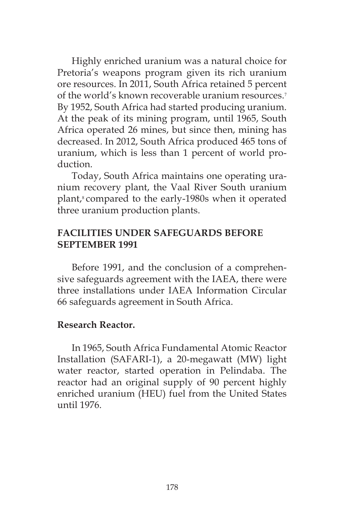Highly enriched uranium was a natural choice for Pretoria's weapons program given its rich uranium ore resources. In 2011, South Africa retained 5 percent of the world's known recoverable uranium resources.<sup>7</sup> By 1952, South Africa had started producing uranium. At the peak of its mining program, until 1965, South Africa operated 26 mines, but since then, mining has decreased. In 2012, South Africa produced 465 tons of uranium, which is less than 1 percent of world production.

Today, South Africa maintains one operating uranium recovery plant, the Vaal River South uranium plant,<sup>8</sup> compared to the early-1980s when it operated three uranium production plants.

# **FACILITIES UNDER SAFEGUARDS BEFORE SEPTEMBER 1991**

Before 1991, and the conclusion of a comprehensive safeguards agreement with the IAEA, there were three installations under IAEA Information Circular 66 safeguards agreement in South Africa.

## **Research Reactor.**

In 1965, South Africa Fundamental Atomic Reactor Installation (SAFARI-1), a 20-megawatt (MW) light water reactor, started operation in Pelindaba. The reactor had an original supply of 90 percent highly enriched uranium (HEU) fuel from the United States until 1976.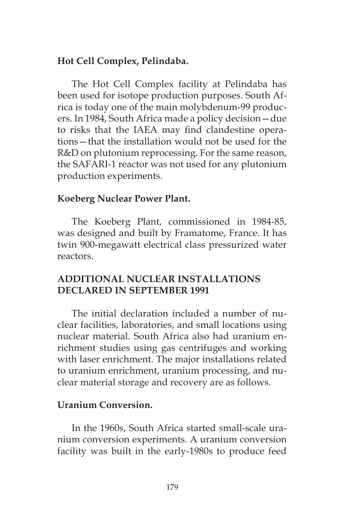## **Hot Cell Complex, Pelindaba.**

The Hot Cell Complex facility at Pelindaba has been used for isotope production purposes. South Africa is today one of the main molybdenum-99 producers. In 1984, South Africa made a policy decision—due to risks that the IAEA may find clandestine operations—that the installation would not be used for the R&D on plutonium reprocessing. For the same reason, the SAFARI-1 reactor was not used for any plutonium production experiments.

### **Koeberg Nuclear Power Plant.**

The Koeberg Plant, commissioned in 1984-85, was designed and built by Framatome, France. It has twin 900-megawatt electrical class pressurized water reactors.

# **ADDITIONAL NUCLEAR INSTALLATIONS DECLARED IN SEPTEMBER 1991**

The initial declaration included a number of nuclear facilities, laboratories, and small locations using nuclear material. South Africa also had uranium enrichment studies using gas centrifuges and working with laser enrichment. The major installations related to uranium enrichment, uranium processing, and nuclear material storage and recovery are as follows.

### **Uranium Conversion.**

In the 1960s, South Africa started small-scale uranium conversion experiments. A uranium conversion facility was built in the early-1980s to produce feed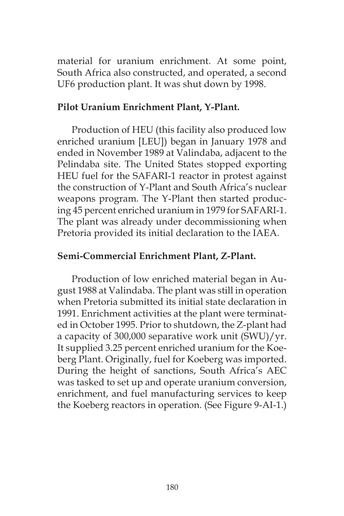material for uranium enrichment. At some point, South Africa also constructed, and operated, a second UF6 production plant. It was shut down by 1998.

## **Pilot Uranium Enrichment Plant, Y-Plant.**

Production of HEU (this facility also produced low enriched uranium [LEU]) began in January 1978 and ended in November 1989 at Valindaba, adjacent to the Pelindaba site. The United States stopped exporting HEU fuel for the SAFARI-1 reactor in protest against the construction of Y-Plant and South Africa's nuclear weapons program. The Y-Plant then started producing 45 percent enriched uranium in 1979 for SAFARI-1. The plant was already under decommissioning when Pretoria provided its initial declaration to the IAEA.

## **Semi-Commercial Enrichment Plant, Z-Plant.**

Production of low enriched material began in August 1988 at Valindaba. The plant was still in operation when Pretoria submitted its initial state declaration in 1991. Enrichment activities at the plant were terminated in October 1995. Prior to shutdown, the Z-plant had a capacity of 300,000 separative work unit (SWU)/yr. It supplied 3.25 percent enriched uranium for the Koeberg Plant. Originally, fuel for Koeberg was imported. During the height of sanctions, South Africa's AEC was tasked to set up and operate uranium conversion, enrichment, and fuel manufacturing services to keep the Koeberg reactors in operation. (See Figure 9-AI-1.)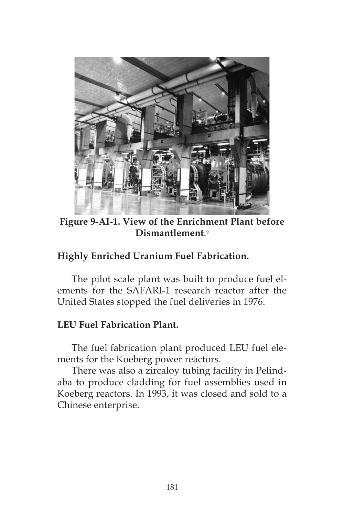

**Figure 9-AI-1. View of the Enrichment Plant before Dismantlement**. 9

# **Highly Enriched Uranium Fuel Fabrication.**

The pilot scale plant was built to produce fuel elements for the SAFARI-1 research reactor after the United States stopped the fuel deliveries in 1976.

### **LEU Fuel Fabrication Plant.**

The fuel fabrication plant produced LEU fuel elements for the Koeberg power reactors.

There was also a zircaloy tubing facility in Pelindaba to produce cladding for fuel assemblies used in Koeberg reactors. In 1993, it was closed and sold to a Chinese enterprise.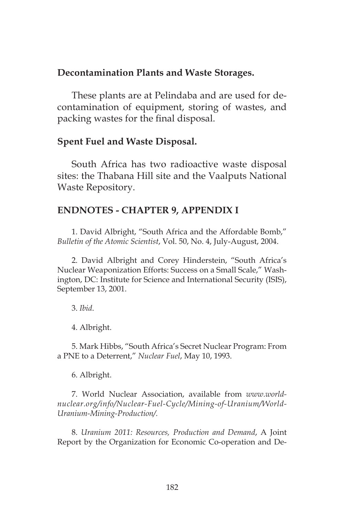### **Decontamination Plants and Waste Storages.**

These plants are at Pelindaba and are used for decontamination of equipment, storing of wastes, and packing wastes for the final disposal.

#### **Spent Fuel and Waste Disposal.**

South Africa has two radioactive waste disposal sites: the Thabana Hill site and the Vaalputs National Waste Repository.

#### **ENDNOTES - CHAPTER 9, APPENDIX I**

1. David Albright, "South Africa and the Affordable Bomb," *Bulletin of the Atomic Scientist*, Vol. 50, No. 4, July-August, 2004.

2. David Albright and Corey Hinderstein, "South Africa's Nuclear Weaponization Efforts: Success on a Small Scale," Washington, DC: Institute for Science and International Security (ISIS), September 13, 2001.

3. *Ibid*.

4. Albright.

5. Mark Hibbs, "South Africa's Secret Nuclear Program: From a PNE to a Deterrent," *Nuclear Fuel*, May 10, 1993.

6. Albright.

7. World Nuclear Association, available from *www.worldnuclear.org/info/Nuclear-Fuel-Cycle/Mining-of-Uranium/World-Uranium-Mining-Production/.*

8. *Uranium 2011: Resources, Production and Demand*, A Joint Report by the Organization for Economic Co-operation and De